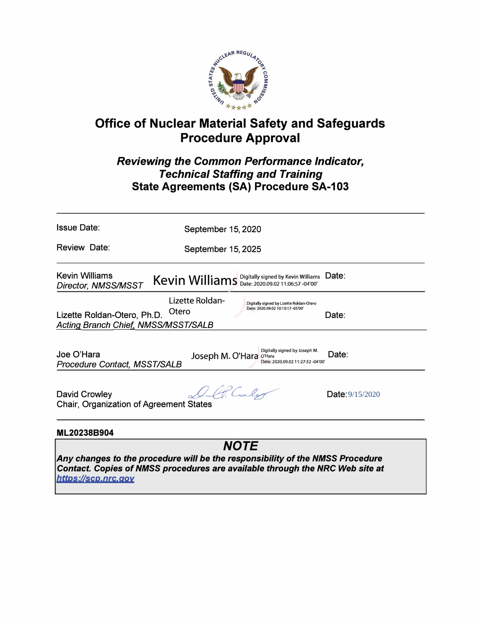

# **Office of Nuclear Material Safety and Safeguards Procedure Approval**

## *Reviewing the Common Performance Indicator, Technical Staffing and Training*  **State Agreements (SA) Procedure SA-103**

| <b>Issue Date:</b>                                                        | September 15, 2020                                            |                                                                             |  |  |
|---------------------------------------------------------------------------|---------------------------------------------------------------|-----------------------------------------------------------------------------|--|--|
| Review Date:                                                              | September 15, 2025                                            |                                                                             |  |  |
| <b>Kevin Williams</b><br>Director, NMSS/MSST                              | Kevin Williams Digitally signed by Kevin Williams             | Date:                                                                       |  |  |
| Lizette Roldan-Otero, Ph.D.<br><b>Acting Branch Chief, NMSS/MSST/SALB</b> | Lizette Roldan-<br>Date: 2020.09.02 10:10:17 -05'00'<br>Otero | Digitally signed by Lizette Roldan-Otero<br>Date:                           |  |  |
| Joe O'Hara<br><b>Procedure Contact, MSST/SALB</b>                         | Joseph M. O'Hara<br>O'Hara                                    | Digitally signed by Joseph M.<br>Date:<br>Date: 2020.09.02 11:27:32 -04'00' |  |  |
| David Crowley<br>Chair, Organization of Agreement States                  | Cular                                                         | <b>Date:</b> 9/15/2020                                                      |  |  |
| ML20238B904                                                               |                                                               |                                                                             |  |  |
|                                                                           |                                                               |                                                                             |  |  |

*Any changes to the procedure will be the responsibility of the NMSS Procedure Contact. Copies of NMSS procedures are available through the NRC Web site at bttps:11scp,nrc,qov*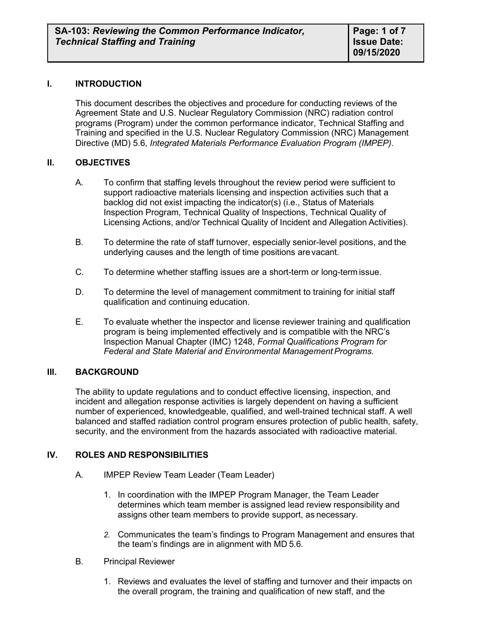#### **I. INTRODUCTION**

This document describes the objectives and procedure for conducting reviews of the Agreement State and U.S. Nuclear Regulatory Commission (NRC) radiation control programs (Program) under the common performance indicator, Technical Staffing and Training and specified in the U.S. Nuclear Regulatory Commission (NRC) Management Directive (MD) 5.6, *Integrated Materials Performance Evaluation Program (IMPEP)*.

#### **II. OBJECTIVES**

- A. To confirm that staffing levels throughout the review period were sufficient to support radioactive materials licensing and inspection activities such that a backlog did not exist impacting the indicator(s) (i.e., Status of Materials Inspection Program, Technical Quality of Inspections, Technical Quality of Licensing Actions, and/or Technical Quality of Incident and Allegation Activities).
- B. To determine the rate of staff turnover, especially senior-level positions, and the underlying causes and the length of time positions are vacant.
- C. To determine whether staffing issues are a short-term or long-term issue.
- D. To determine the level of management commitment to training for initial staff qualification and continuing education.
- E. To evaluate whether the inspector and license reviewer training and qualification program is being implemented effectively and is compatible with the NRC's Inspection Manual Chapter (IMC) 1248, *Formal Qualifications Program for*  Federal and State Material and Environmental Management Programs.

#### **III. BACKGROUND**

The ability to update regulations and to conduct effective licensing, inspection, and incident and allegation response activities is largely dependent on having a sufficient number of experienced, knowledgeable, qualified, and well-trained technical staff. A well balanced and staffed radiation control program ensures protection of public health, safety, security, and the environment from the hazards associated with radioactive material.

#### **IV. ROLES AND RESPONSIBILITIES**

- A. IMPEP Review Team Leader (Team Leader)
	- 1. In coordination with the IMPEP Program Manager, the Team Leader determines which team member is assigned lead review responsibility and assigns other team members to provide support, as necessary.
	- *2.* Communicates the team's findings to Program Management and ensures that the team's findings are in alignment with MD 5.6*.*
- B. Principal Reviewer
	- 1. Reviews and evaluates the level of staffing and turnover and their impacts on the overall program, the training and qualification of new staff, and the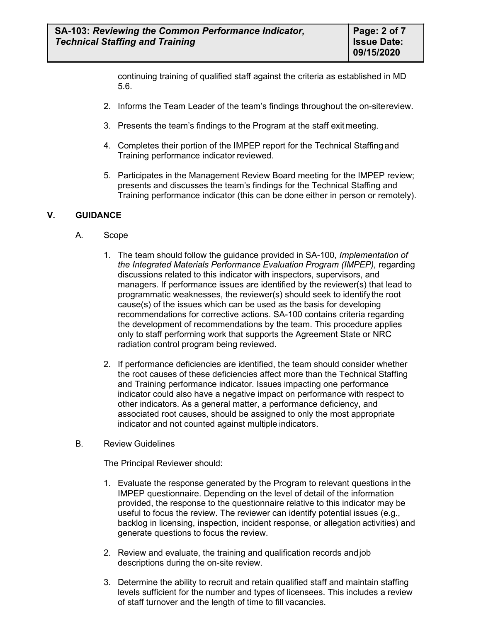continuing training of qualified staff against the criteria as established in MD 5.6.

- 2. Informs the Team Leader of the team's findings throughout the on-sitereview.
- 3. Presents the team's findings to the Program at the staff exitmeeting.
- 4. Completes their portion of the IMPEP report for the Technical Staffing and Training performance indicator reviewed.
- 5. Participates in the Management Review Board meeting for the IMPEP review; presents and discusses the team's findings for the Technical Staffing and Training performance indicator (this can be done either in person or remotely).

### **V. GUIDANCE**

- A. Scope
	- 1. The team should follow the guidance provided in SA-100, *Implementation of the Integrated Materials Performance Evaluation Program (IMPEP),* regarding discussions related to this indicator with inspectors, supervisors, and managers. If performance issues are identified by the reviewer(s) that lead to programmatic weaknesses, the reviewer(s) should seek to identifythe root cause(s) of the issues which can be used as the basis for developing recommendations for corrective actions. SA-100 contains criteria regarding the development of recommendations by the team. This procedure applies only to staff performing work that supports the Agreement State or NRC radiation control program being reviewed.
	- 2. If performance deficiencies are identified, the team should consider whether the root causes of these deficiencies affect more than the Technical Staffing and Training performance indicator. Issues impacting one performance indicator could also have a negative impact on performance with respect to other indicators. As a general matter, a performance deficiency, and associated root causes, should be assigned to only the most appropriate indicator and not counted against multiple indicators.
- B. Review Guidelines

The Principal Reviewer should:

- 1. Evaluate the response generated by the Program to relevant questions inthe IMPEP questionnaire. Depending on the level of detail of the information provided, the response to the questionnaire relative to this indicator may be useful to focus the review. The reviewer can identify potential issues (e.g., backlog in licensing, inspection, incident response, or allegation activities) and generate questions to focus the review.
- 2. Review and evaluate, the training and qualification records andjob descriptions during the on-site review.
- 3. Determine the ability to recruit and retain qualified staff and maintain staffing levels sufficient for the number and types of licensees. This includes a review of staff turnover and the length of time to fill vacancies.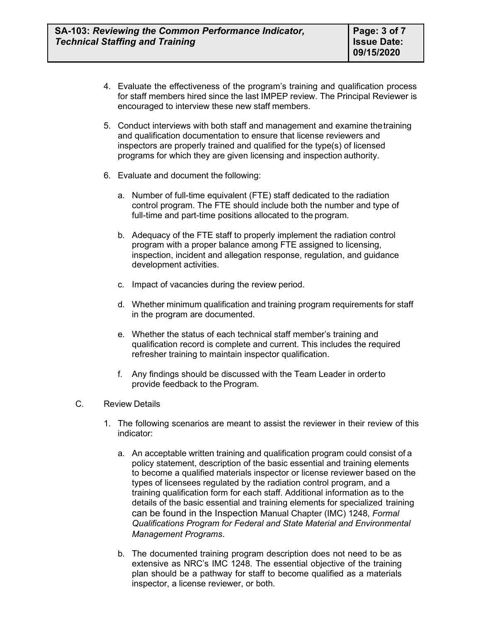- 4. Evaluate the effectiveness of the program's training and qualification process for staff members hired since the last IMPEP review. The Principal Reviewer is encouraged to interview these new staff members.
- 5. Conduct interviews with both staff and management and examine thetraining and qualification documentation to ensure that license reviewers and inspectors are properly trained and qualified for the type(s) of licensed programs for which they are given licensing and inspection authority.
- 6. Evaluate and document the following:
	- a. Number of full-time equivalent (FTE) staff dedicated to the radiation control program. The FTE should include both the number and type of full-time and part-time positions allocated to the program.
	- b. Adequacy of the FTE staff to properly implement the radiation control program with a proper balance among FTE assigned to licensing, inspection, incident and allegation response, regulation, and guidance development activities.
	- c. Impact of vacancies during the review period.
	- d. Whether minimum qualification and training program requirements for staff in the program are documented.
	- e. Whether the status of each technical staff member's training and qualification record is complete and current. This includes the required refresher training to maintain inspector qualification.
	- f. Any findings should be discussed with the Team Leader in orderto provide feedback to the Program.
- C. Review Details
	- 1. The following scenarios are meant to assist the reviewer in their review of this indicator:
		- a. An acceptable written training and qualification program could consist of a policy statement, description of the basic essential and training elements to become a qualified materials inspector or license reviewer based on the types of licensees regulated by the radiation control program, and a training qualification form for each staff. Additional information as to the details of the basic essential and training elements for specialized training can be found in the Inspection Manual Chapter (IMC) 1248, *Formal Qualifications Program for Federal and State Material and Environmental Management Programs*.
		- b. The documented training program description does not need to be as extensive as NRC's IMC 1248. The essential objective of the training plan should be a pathway for staff to become qualified as a materials inspector, a license reviewer, or both.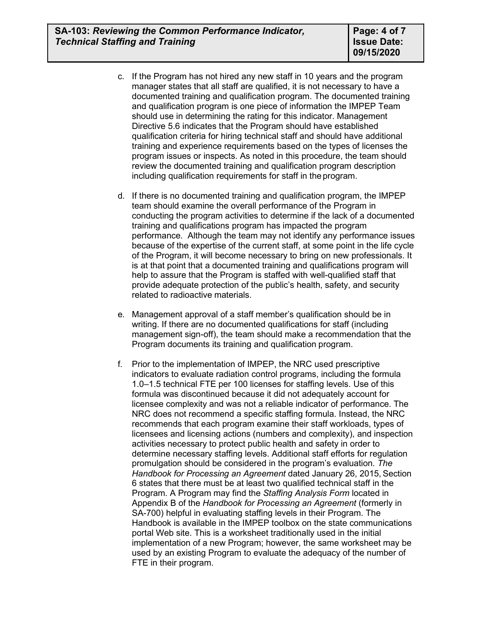- c. If the Program has not hired any new staff in 10 years and the program manager states that all staff are qualified, it is not necessary to have a documented training and qualification program. The documented training and qualification program is one piece of information the IMPEP Team should use in determining the rating for this indicator. Management Directive 5.6 indicates that the Program should have established qualification criteria for hiring technical staff and should have additional training and experience requirements based on the types of licenses the program issues or inspects. As noted in this procedure, the team should review the documented training and qualification program description including qualification requirements for staff in the program.
- d. If there is no documented training and qualification program, the IMPEP team should examine the overall performance of the Program in conducting the program activities to determine if the lack of a documented training and qualifications program has impacted the program performance. Although the team may not identify any performance issues because of the expertise of the current staff, at some point in the life cycle of the Program, it will become necessary to bring on new professionals. It is at that point that a documented training and qualifications program will help to assure that the Program is staffed with well-qualified staff that provide adequate protection of the public's health, safety, and security related to radioactive materials.
- e. Management approval of a staff member's qualification should be in writing. If there are no documented qualifications for staff (including management sign-off), the team should make a recommendation that the Program documents its training and qualification program.
- f. Prior to the implementation of IMPEP, the NRC used prescriptive indicators to evaluate radiation control programs, including the formula 1.0–1.5 technical FTE per 100 licenses for staffing levels. Use of this formula was discontinued because it did not adequately account for licensee complexity and was not a reliable indicator of performance. The NRC does not recommend a specific staffing formula. Instead, the NRC recommends that each program examine their staff workloads, types of licensees and licensing actions (numbers and complexity), and inspection activities necessary to protect public health and safety in order to determine necessary staffing levels. Additional staff efforts for regulation promulgation should be considered in the program's evaluation. *The Handbook for Processing an Agreement* dated January 26, 2015, Section 6 states that there must be at least two qualified technical staff in the Program. A Program may find the *Staffing Analysis Form* located in Appendix B of the *Handbook for Processing an Agreement* (formerly in SA-700) helpful in evaluating staffing levels in their Program. The Handbook is available in the IMPEP toolbox on the state communications portal Web site. This is a worksheet traditionally used in the initial implementation of a new Program; however, the same worksheet may be used by an existing Program to evaluate the adequacy of the number of FTE in their program.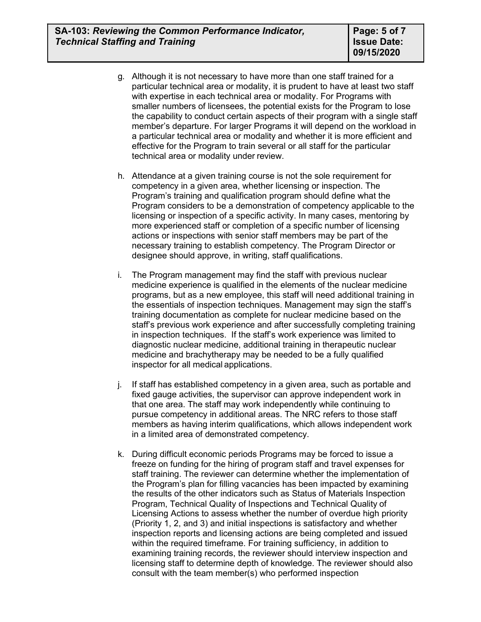- g. Although it is not necessary to have more than one staff trained for a particular technical area or modality, it is prudent to have at least two staff with expertise in each technical area or modality. For Programs with smaller numbers of licensees, the potential exists for the Program to lose the capability to conduct certain aspects of their program with a single staff member's departure. For larger Programs it will depend on the workload in a particular technical area or modality and whether it is more efficient and effective for the Program to train several or all staff for the particular technical area or modality under review.
- h. Attendance at a given training course is not the sole requirement for competency in a given area, whether licensing or inspection. The Program's training and qualification program should define what the Program considers to be a demonstration of competency applicable to the licensing or inspection of a specific activity. In many cases, mentoring by more experienced staff or completion of a specific number of licensing actions or inspections with senior staff members may be part of the necessary training to establish competency. The Program Director or designee should approve, in writing, staff qualifications.
- i. The Program management may find the staff with previous nuclear medicine experience is qualified in the elements of the nuclear medicine programs, but as a new employee, this staff will need additional training in the essentials of inspection techniques. Management may sign the staff's training documentation as complete for nuclear medicine based on the staff's previous work experience and after successfully completing training in inspection techniques. If the staff's work experience was limited to diagnostic nuclear medicine, additional training in therapeutic nuclear medicine and brachytherapy may be needed to be a fully qualified inspector for all medical applications.
- j. If staff has established competency in a given area, such as portable and fixed gauge activities, the supervisor can approve independent work in that one area. The staff may work independently while continuing to pursue competency in additional areas. The NRC refers to those staff members as having interim qualifications, which allows independent work in a limited area of demonstrated competency.
- k. During difficult economic periods Programs may be forced to issue a freeze on funding for the hiring of program staff and travel expenses for staff training. The reviewer can determine whether the implementation of the Program's plan for filling vacancies has been impacted by examining the results of the other indicators such as Status of Materials Inspection Program, Technical Quality of Inspections and Technical Quality of Licensing Actions to assess whether the number of overdue high priority (Priority 1, 2, and 3) and initial inspections is satisfactory and whether inspection reports and licensing actions are being completed and issued within the required timeframe. For training sufficiency, in addition to examining training records, the reviewer should interview inspection and licensing staff to determine depth of knowledge. The reviewer should also consult with the team member(s) who performed inspection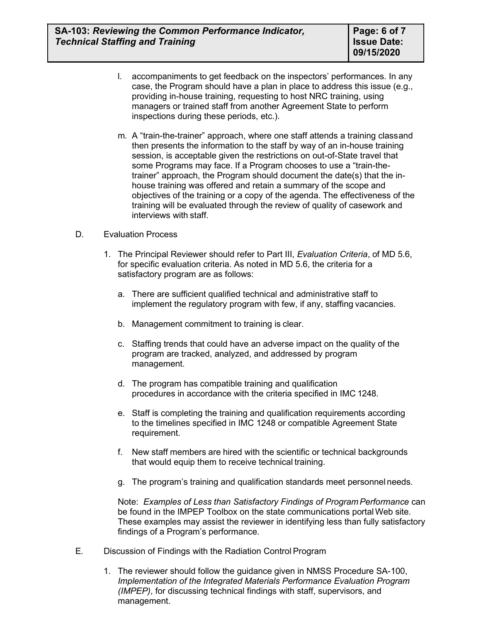- l. accompaniments to get feedback on the inspectors' performances. In any case, the Program should have a plan in place to address this issue (e.g., providing in-house training, requesting to host NRC training, using managers or trained staff from another Agreement State to perform inspections during these periods, etc.).
- m. A "train-the-trainer" approach, where one staff attends a training classand then presents the information to the staff by way of an in-house training session, is acceptable given the restrictions on out-of-State travel that some Programs may face. If a Program chooses to use a "train-thetrainer" approach, the Program should document the date(s) that the inhouse training was offered and retain a summary of the scope and objectives of the training or a copy of the agenda. The effectiveness of the training will be evaluated through the review of quality of casework and interviews with staff.

#### D. Evaluation Process

- 1. The Principal Reviewer should refer to Part III, *Evaluation Criteria*, of MD 5.6, for specific evaluation criteria. As noted in MD 5.6, the criteria for a satisfactory program are as follows:
	- a. There are sufficient qualified technical and administrative staff to implement the regulatory program with few, if any, staffing vacancies.
	- b. Management commitment to training is clear.
	- c. Staffing trends that could have an adverse impact on the quality of the program are tracked, analyzed, and addressed by program management.
	- d. The program has compatible training and qualification procedures in accordance with the criteria specified in IMC 1248.
	- e. Staff is completing the training and qualification requirements according to the timelines specified in IMC 1248 or compatible Agreement State requirement.
	- f. New staff members are hired with the scientific or technical backgrounds that would equip them to receive technical training.
	- g. The program's training and qualification standards meet personnel needs.

Note: *Examples of Less than Satisfactory Findings of ProgramPerformance* can be found in the IMPEP Toolbox on the state communications portalWeb site. These examples may assist the reviewer in identifying less than fully satisfactory findings of a Program's performance.

- E. Discussion of Findings with the Radiation Control Program
	- 1. The reviewer should follow the guidance given in NMSS Procedure SA-100, *Implementation of the Integrated Materials Performance Evaluation Program (IMPEP)*, for discussing technical findings with staff, supervisors, and management.